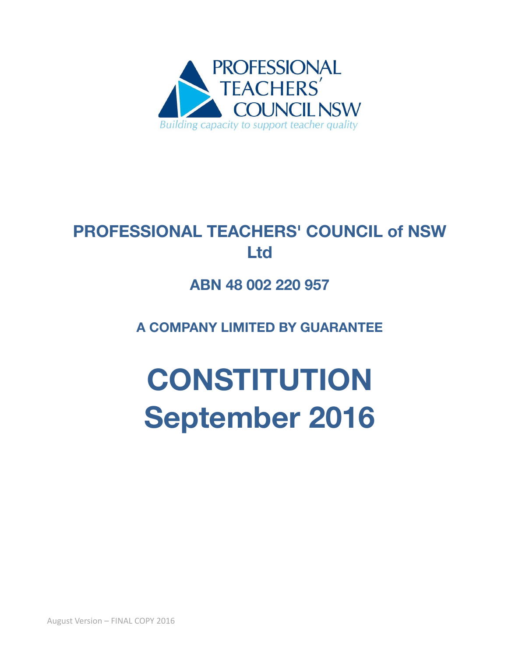

# **PROFESSIONAL TEACHERS' COUNCIL of NSW Ltd**

# **ABN 48 002 220 957**

**A COMPANY LIMITED BY GUARANTEE**

# **CONSTITUTION September 2016**

August Version – FINAL COPY 2016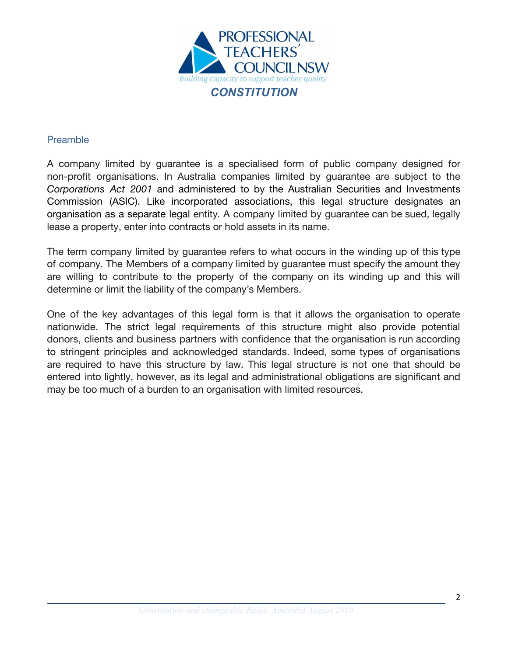

#### <span id="page-1-0"></span>Preamble

A company limited by guarantee is a specialised form of public company designed for non-profit organisations. In Australia companies limited by guarantee are subject to the *Corporations Act 2001* and administered to by the Australian Securities and Investments Commission (ASIC). Like incorporated associations, this legal structure designates an organisation as a separate legal entity. A company limited by guarantee can be sued, legally lease a property, enter into contracts or hold assets in its name.

The term company limited by guarantee refers to what occurs in the winding up of this type of company. The Members of a company limited by guarantee must specify the amount they are willing to contribute to the property of the company on its winding up and this will determine or limit the liability of the company's Members.

One of the key advantages of this legal form is that it allows the organisation to operate nationwide. The strict legal requirements of this structure might also provide potential donors, clients and business partners with confidence that the organisation is run according to stringent principles and acknowledged standards. Indeed, some types of organisations are required to have this structure by law. This legal structure is not one that should be entered into lightly, however, as its legal and administrational obligations are significant and may be too much of a burden to an organisation with limited resources.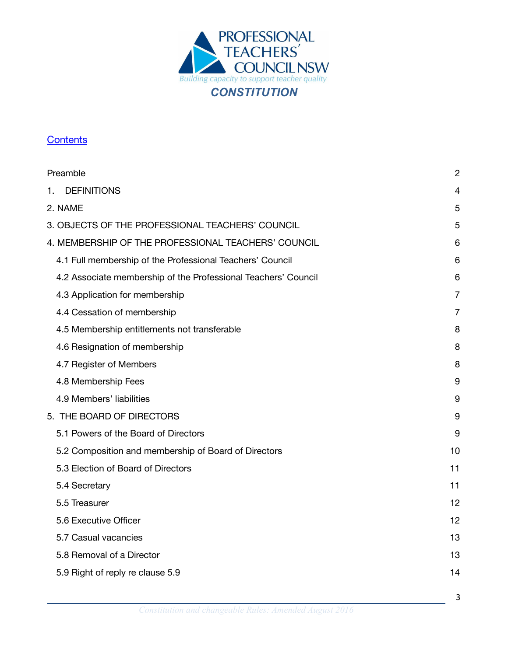

# <span id="page-2-0"></span>**[Contents](#page-2-0)**

| Preamble                                                       | $\overline{2}$ |
|----------------------------------------------------------------|----------------|
| <b>DEFINITIONS</b><br>1.                                       | 4              |
| 2. NAME                                                        | 5              |
| 3. OBJECTS OF THE PROFESSIONAL TEACHERS' COUNCIL               | 5              |
| 4. MEMBERSHIP OF THE PROFESSIONAL TEACHERS' COUNCIL            | 6              |
| 4.1 Full membership of the Professional Teachers' Council      | 6              |
| 4.2 Associate membership of the Professional Teachers' Council | 6              |
| 4.3 Application for membership                                 | $\overline{7}$ |
| 4.4 Cessation of membership                                    | $\overline{7}$ |
| 4.5 Membership entitlements not transferable                   | 8              |
| 4.6 Resignation of membership                                  | 8              |
| 4.7 Register of Members                                        | 8              |
| 4.8 Membership Fees                                            | 9              |
| 4.9 Members' liabilities                                       | 9              |
| 5. THE BOARD OF DIRECTORS                                      | 9              |
| 5.1 Powers of the Board of Directors                           | 9              |
| 5.2 Composition and membership of Board of Directors           | 10             |
| 5.3 Election of Board of Directors                             | 11             |
| 5.4 Secretary                                                  | 11             |
| 5.5 Treasurer                                                  | 12             |
| 5.6 Executive Officer                                          | 12             |
| 5.7 Casual vacancies                                           | 13             |
| 5.8 Removal of a Director                                      | 13             |
| 5.9 Right of reply re clause 5.9                               | 14             |
|                                                                |                |

3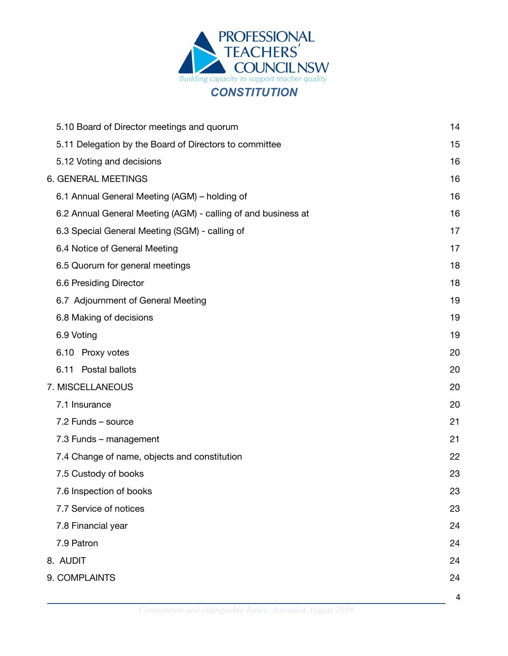

| 5.10 Board of Director meetings and quorum                    | 14 |
|---------------------------------------------------------------|----|
| 5.11 Delegation by the Board of Directors to committee        | 15 |
| 5.12 Voting and decisions                                     | 16 |
| 6. GENERAL MEETINGS                                           | 16 |
| 6.1 Annual General Meeting (AGM) – holding of                 |    |
| 6.2 Annual General Meeting (AGM) - calling of and business at | 16 |
| 6.3 Special General Meeting (SGM) - calling of                | 17 |
| 6.4 Notice of General Meeting                                 | 17 |
| 6.5 Quorum for general meetings                               | 18 |
| 6.6 Presiding Director                                        | 18 |
| 6.7 Adjournment of General Meeting                            | 19 |
| 6.8 Making of decisions                                       | 19 |
| 6.9 Voting                                                    | 19 |
| 6.10 Proxy votes                                              | 20 |
| 6.11 Postal ballots                                           | 20 |
| 7. MISCELLANEOUS                                              | 20 |
| 7.1 Insurance                                                 | 20 |
| 7.2 Funds - source                                            | 21 |
| 7.3 Funds - management                                        | 21 |
| 7.4 Change of name, objects and constitution                  | 22 |
| 7.5 Custody of books                                          | 23 |
| 7.6 Inspection of books                                       | 23 |
| 7.7 Service of notices                                        | 23 |
| 7.8 Financial year                                            | 24 |
| 7.9 Patron                                                    | 24 |
| 8. AUDIT                                                      | 24 |
| 9. COMPLAINTS                                                 | 24 |
|                                                               | 4  |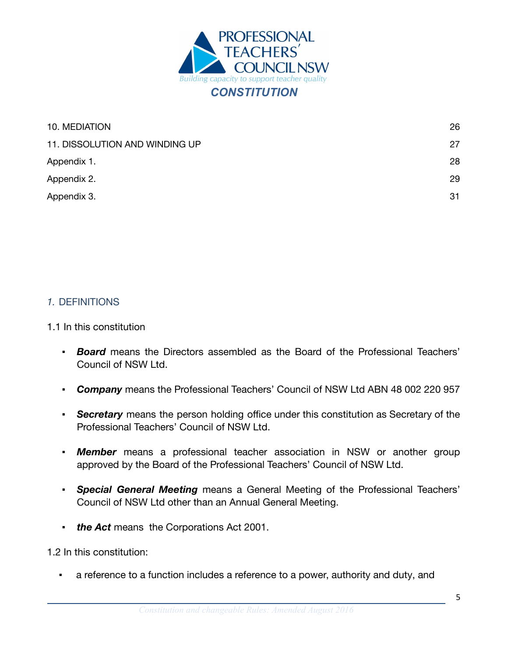

| 10. MEDIATION                  | 26 |
|--------------------------------|----|
| 11. DISSOLUTION AND WINDING UP | 27 |
| Appendix 1.                    | 28 |
| Appendix 2.                    | 29 |
| Appendix 3.                    | 31 |

#### <span id="page-4-0"></span>*1.* DEFINITIONS

#### 1.1 In this constitution

- *Board* means the Directors assembled as the Board of the Professional Teachers' Council of NSW Ltd.
- *Company* means the Professional Teachers' Council of NSW Ltd ABN 48 002 220 957
- **Secretary** means the person holding office under this constitution as Secretary of the Professional Teachers' Council of NSW Ltd.
- **Member** means a professional teacher association in NSW or another group approved by the Board of the Professional Teachers' Council of NSW Ltd.
- *Special General Meeting* means a General Meeting of the Professional Teachers' Council of NSW Ltd other than an Annual General Meeting.
- *the Act* means the Corporations Act 2001.

1.2 In this constitution:

a reference to a function includes a reference to a power, authority and duty, and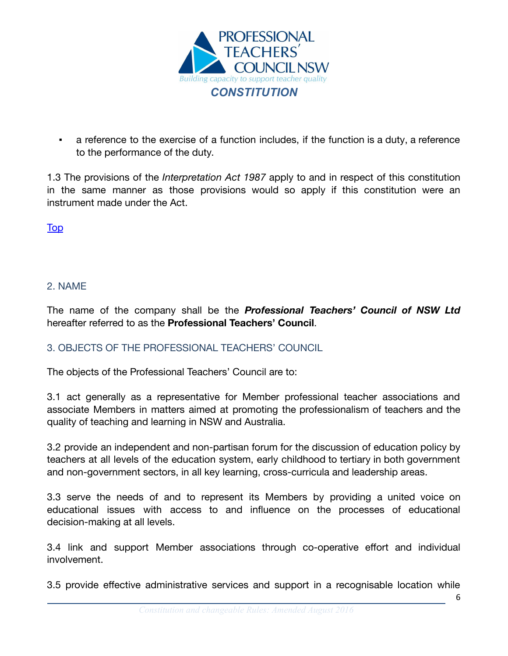

a reference to the exercise of a function includes, if the function is a duty, a reference to the performance of the duty.

1.3 The provisions of the *[Interpretation](http://www.legislation.nsw.gov.au/xref/inforce/?xref=Type%3Dact%20AND%20Year%3D1987%20AND%20no%3D15&nohits=y) Act 1987* apply to and in respect of this constitution in the same manner as those provisions would so apply if this constitution were an instrument made under the Act.

**[Top](#page-2-0)** 

# <span id="page-5-0"></span>2. NAME

The name of the company shall be the *Professional Teachers' Council of NSW Ltd* hereafter referred to as the **Professional Teachers' Council**.

# <span id="page-5-1"></span>3. OBJECTS OF THE PROFESSIONAL TEACHERS' COUNCIL

The objects of the Professional Teachers' Council are to:

3.1 act generally as a representative for Member professional teacher associations and associate Members in matters aimed at promoting the professionalism of teachers and the quality of teaching and learning in NSW and Australia.

3.2 provide an independent and non-partisan forum for the discussion of education policy by teachers at all levels of the education system, early childhood to tertiary in both government and non-government sectors, in all key learning, cross-curricula and leadership areas.

3.3 serve the needs of and to represent its Members by providing a united voice on educational issues with access to and influence on the processes of educational decision-making at all levels.

3.4 link and support Member associations through co-operative effort and individual involvement.

3.5 provide effective administrative services and support in a recognisable location while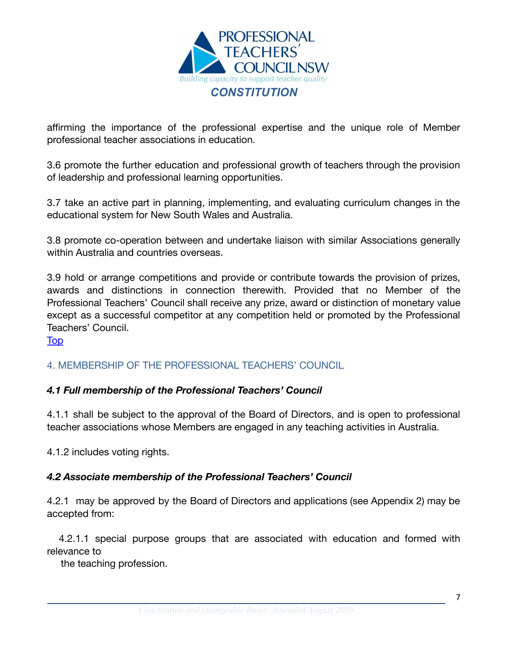

affirming the importance of the professional expertise and the unique role of Member professional teacher associations in education.

3.6 promote the further education and professional growth of teachers through the provision of leadership and professional learning opportunities.

3.7 take an active part in planning, implementing, and evaluating curriculum changes in the educational system for New South Wales and Australia.

3.8 promote co-operation between and undertake liaison with similar Associations generally within Australia and countries overseas.

3.9 hold or arrange competitions and provide or contribute towards the provision of prizes, awards and distinctions in connection therewith. Provided that no Member of the Professional Teachers' Council shall receive any prize, award or distinction of monetary value except as a successful competitor at any competition held or promoted by the Professional Teachers' Council.

[Top](#page-2-0)

#### <span id="page-6-0"></span>4. MEMBERSHIP OF THE PROFESSIONAL TEACHERS' COUNCIL

#### <span id="page-6-1"></span>*4.1 Full membership of the Professional Teachers' Council*

4.1.1 shall be subject to the approval of the Board of Directors, and is open to professional teacher associations whose Members are engaged in any teaching activities in Australia.

4.1.2 includes voting rights.

#### <span id="page-6-2"></span>*4.2 Associate membership of the Professional Teachers' Council*

4.2.1 may be approved by the Board of Directors and applications (see Appendix 2) may be accepted from:

4.2.1.1 special purpose groups that are associated with education and formed with relevance to

the teaching profession.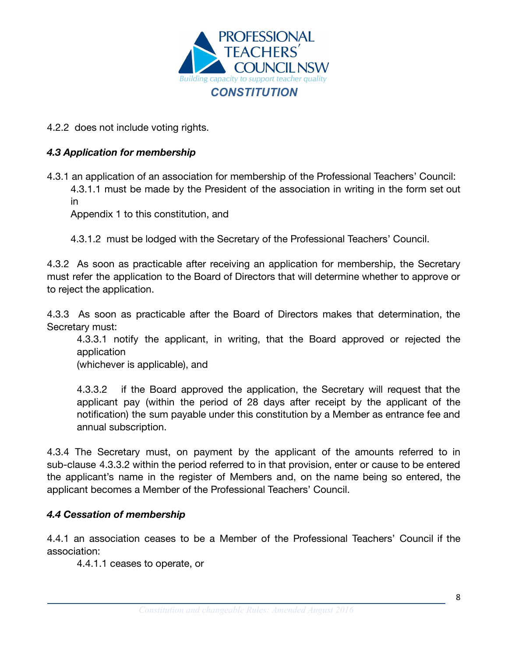

4.2.2 does not include voting rights.

# <span id="page-7-0"></span>*4.3 Application for membership*

4.3.1 an application of an association for membership of the Professional Teachers' Council: 4.3.1.1 must be made by the President of the association in writing in the form set out in

Appendix 1 to this constitution, and

4.3.1.2 must be lodged with the Secretary of the Professional Teachers' Council.

4.3.2 As soon as practicable after receiving an application for membership, the Secretary must refer the application to the Board of Directors that will determine whether to approve or to reject the application.

4.3.3 As soon as practicable after the Board of Directors makes that determination, the Secretary must:

4.3.3.1 notify the applicant, in writing, that the Board approved or rejected the application

(whichever is applicable), and

4.3.3.2 if the Board approved the application, the Secretary will request that the applicant pay (within the period of 28 days after receipt by the applicant of the notification) the sum payable under this constitution by a Member as entrance fee and annual subscription.

4.3.4 The Secretary must, on payment by the applicant of the amounts referred to in sub-clause 4.3.3.2 within the period referred to in that provision, enter or cause to be entered the applicant's name in the register of Members and, on the name being so entered, the applicant becomes a Member of the Professional Teachers' Council.

#### <span id="page-7-1"></span>*4.4 Cessation of membership*

4.4.1 an association ceases to be a Member of the Professional Teachers' Council if the association:

4.4.1.1 ceases to operate, or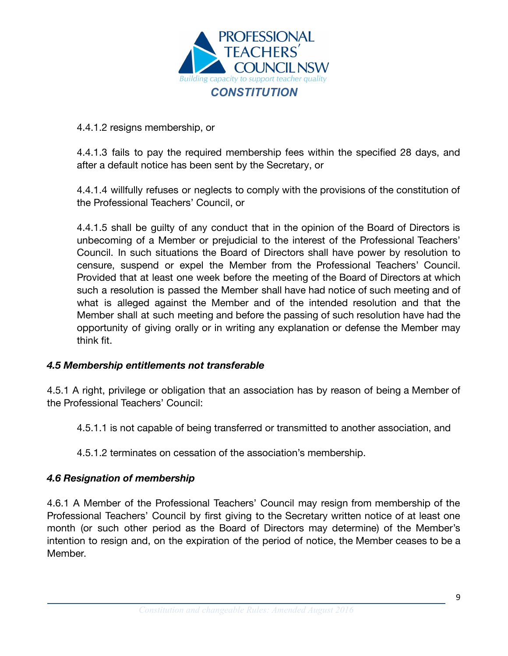

#### 4.4.1.2 resigns membership, or

4.4.1.3 fails to pay the required membership fees within the specified 28 days, and after a default notice has been sent by the Secretary, or

4.4.1.4 willfully refuses or neglects to comply with the provisions of the constitution of the Professional Teachers' Council, or

4.4.1.5 shall be guilty of any conduct that in the opinion of the Board of Directors is unbecoming of a Member or prejudicial to the interest of the Professional Teachers' Council. In such situations the Board of Directors shall have power by resolution to censure, suspend or expel the Member from the Professional Teachers' Council. Provided that at least one week before the meeting of the Board of Directors at which such a resolution is passed the Member shall have had notice of such meeting and of what is alleged against the Member and of the intended resolution and that the Member shall at such meeting and before the passing of such resolution have had the opportunity of giving orally or in writing any explanation or defense the Member may think fit.

#### <span id="page-8-0"></span>*4.5 Membership entitlements not transferable*

4.5.1 A right, privilege or obligation that an association has by reason of being a Member of the Professional Teachers' Council:

4.5.1.1 is not capable of being transferred or transmitted to another association, and

4.5.1.2 terminates on cessation of the association's membership.

#### <span id="page-8-1"></span>*4.6 Resignation of membership*

4.6.1 A Member of the Professional Teachers' Council may resign from membership of the Professional Teachers' Council by first giving to the Secretary written notice of at least one month (or such other period as the Board of Directors may determine) of the Member's intention to resign and, on the expiration of the period of notice, the Member ceases to be a Member.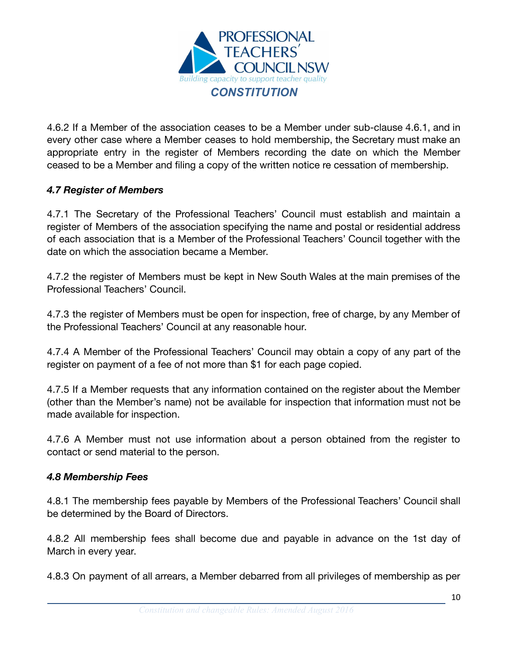

4.6.2 If a Member of the association ceases to be a Member under sub-clause 4.6.1, and in every other case where a Member ceases to hold membership, the Secretary must make an appropriate entry in the register of Members recording the date on which the Member ceased to be a Member and filing a copy of the written notice re cessation of membership.

# <span id="page-9-0"></span>*4.7 Register of Members*

4.7.1 The Secretary of the Professional Teachers' Council must establish and maintain a register of Members of the association specifying the name and postal or residential address of each association that is a Member of the Professional Teachers' Council together with the date on which the association became a Member.

4.7.2 the register of Members must be kept in New South Wales at the main premises of the Professional Teachers' Council.

4.7.3 the register of Members must be open for inspection, free of charge, by any Member of the Professional Teachers' Council at any reasonable hour.

4.7.4 A Member of the Professional Teachers' Council may obtain a copy of any part of the register on payment of a fee of not more than \$1 for each page copied.

4.7.5 If a Member requests that any information contained on the register about the Member (other than the Member's name) not be available for inspection that information must not be made available for inspection.

4.7.6 A Member must not use information about a person obtained from the register to contact or send material to the person.

#### <span id="page-9-1"></span>*4.8 Membership Fees*

4.8.1 The membership fees payable by Members of the Professional Teachers' Council shall be determined by the Board of Directors.

4.8.2 All membership fees shall become due and payable in advance on the 1st day of March in every year.

4.8.3 On payment of all arrears, a Member debarred from all privileges of membership as per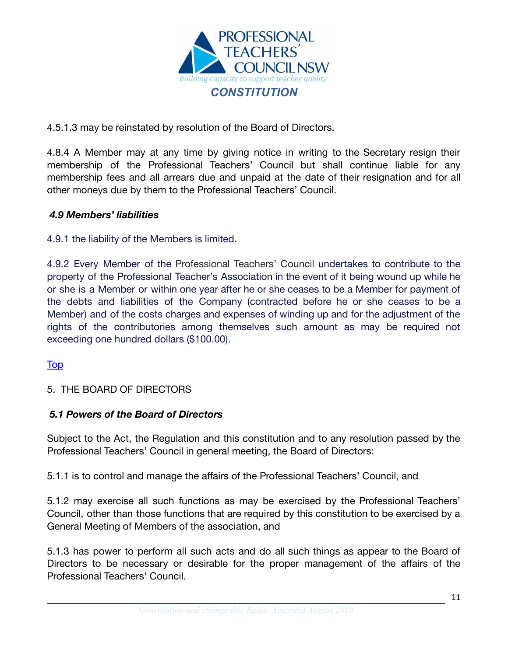

4.5.1.3 may be reinstated by resolution of the Board of Directors.

4.8.4 A Member may at any time by giving notice in writing to the Secretary resign their membership of the Professional Teachers' Council but shall continue liable for any membership fees and all arrears due and unpaid at the date of their resignation and for all other moneys due by them to the Professional Teachers' Council.

#### <span id="page-10-0"></span>*4.9 Members' liabilities*

4.9.1 the liability of the Members is limited.

4.9.2 Every Member of the Professional Teachers' Council undertakes to contribute to the property of the Professional Teacher's Association in the event of it being wound up while he or she is a Member or within one year after he or she ceases to be a Member for payment of the debts and liabilities of the Company (contracted before he or she ceases to be a Member) and of the costs charges and expenses of winding up and for the adjustment of the rights of the contributories among themselves such amount as may be required not exceeding one hundred dollars (\$100.00).

#### [Top](#page-2-0)

# <span id="page-10-1"></span>5. THE BOARD OF DIRECTORS

#### <span id="page-10-2"></span>*5.1 Powers of the Board of Directors*

Subject to the Act, the Regulation and this constitution and to any resolution passed by the Professional Teachers' Council in general meeting, the Board of Directors:

5.1.1 is to control and manage the affairs of the Professional Teachers' Council, and

5.1.2 may exercise all such functions as may be exercised by the Professional Teachers' Council, other than those functions that are required by this constitution to be exercised by a General Meeting of Members of the association, and

5.1.3 has power to perform all such acts and do all such things as appear to the Board of Directors to be necessary or desirable for the proper management of the affairs of the Professional Teachers' Council.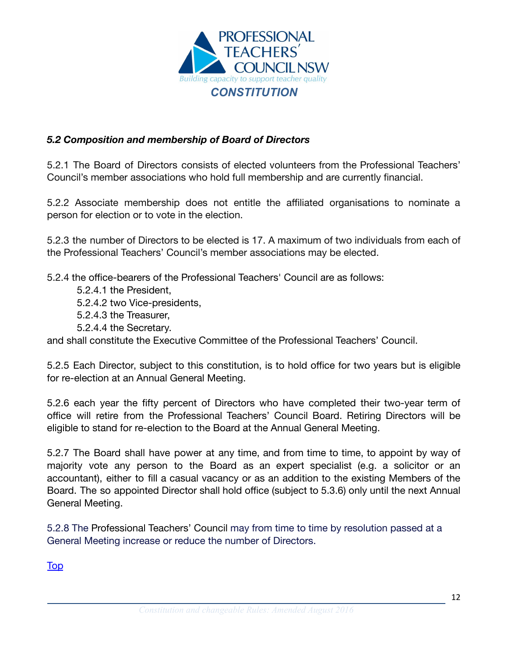

# <span id="page-11-0"></span>*5.2 Composition and membership of Board of Directors*

5.2.1 The Board of Directors consists of elected volunteers from the Professional Teachers' Council's member associations who hold full membership and are currently financial.

5.2.2 Associate membership does not entitle the affiliated organisations to nominate a person for election or to vote in the election.

5.2.3 the number of Directors to be elected is 17. A maximum of two individuals from each of the Professional Teachers' Council's member associations may be elected.

5.2.4 the office-bearers of the Professional Teachers' Council are as follows:

5.2.4.1 the President,

5.2.4.2 two Vice-presidents,

- 5.2.4.3 the Treasurer,
- 5.2.4.4 the Secretary.

and shall constitute the Executive Committee of the Professional Teachers' Council.

5.2.5 Each Director, subject to this constitution, is to hold office for two years but is eligible for re-election at an Annual General Meeting.

5.2.6 each year the fifty percent of Directors who have completed their two-year term of office will retire from the Professional Teachers' Council Board. Retiring Directors will be eligible to stand for re-election to the Board at the Annual General Meeting.

5.2.7 The Board shall have power at any time, and from time to time, to appoint by way of majority vote any person to the Board as an expert specialist (e.g. a solicitor or an accountant), either to fill a casual vacancy or as an addition to the existing Members of the Board. The so appointed Director shall hold office (subject to 5.3.6) only until the next Annual General Meeting.

5.2.8 The Professional Teachers' Council may from time to time by resolution passed at a General Meeting increase or reduce the number of Directors.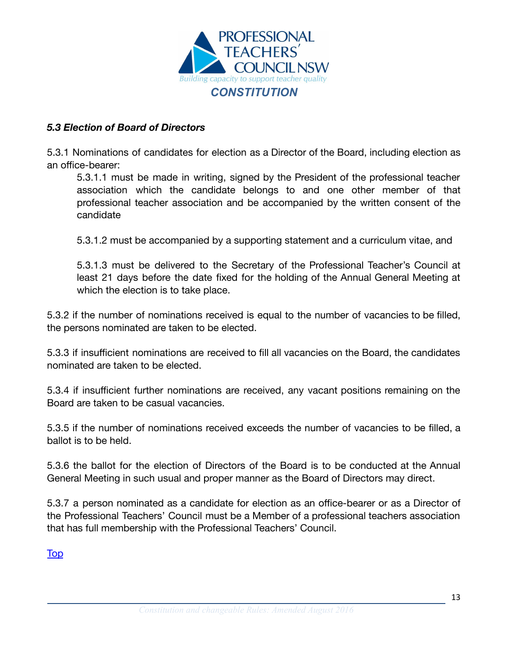

# <span id="page-12-0"></span>*5.3 Election of Board of Directors*

5.3.1 Nominations of candidates for election as a Director of the Board, including election as an office-bearer:

5.3.1.1 must be made in writing, signed by the President of the professional teacher association which the candidate belongs to and one other member of that professional teacher association and be accompanied by the written consent of the candidate

5.3.1.2 must be accompanied by a supporting statement and a curriculum vitae, and

5.3.1.3 must be delivered to the Secretary of the Professional Teacher's Council at least 21 days before the date fixed for the holding of the Annual General Meeting at which the election is to take place.

5.3.2 if the number of nominations received is equal to the number of vacancies to be filled, the persons nominated are taken to be elected.

5.3.3 if insufficient nominations are received to fill all vacancies on the Board, the candidates nominated are taken to be elected.

5.3.4 if insufficient further nominations are received, any vacant positions remaining on the Board are taken to be casual vacancies.

5.3.5 if the number of nominations received exceeds the number of vacancies to be filled, a ballot is to be held.

5.3.6 the ballot for the election of Directors of the Board is to be conducted at the Annual General Meeting in such usual and proper manner as the Board of Directors may direct.

5.3.7 a person nominated as a candidate for election as an office-bearer or as a Director of the Professional Teachers' Council must be a Member of a professional teachers association that has full membership with the Professional Teachers' Council.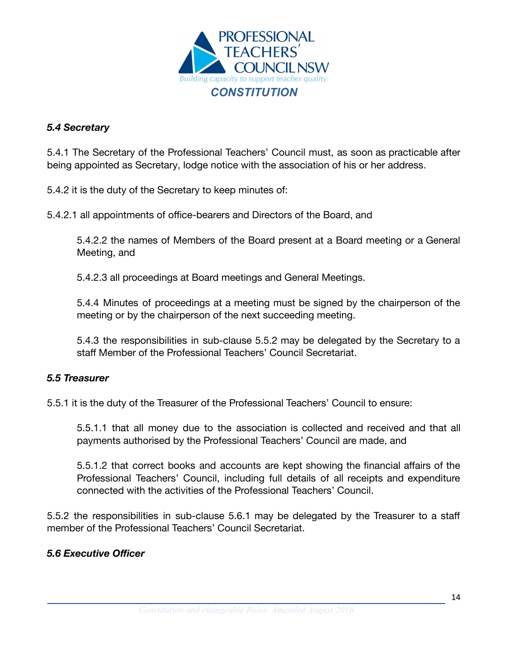

#### <span id="page-13-0"></span>*5.4 Secretary*

5.4.1 The Secretary of the Professional Teachers' Council must, as soon as practicable after being appointed as Secretary, lodge notice with the association of his or her address.

5.4.2 it is the duty of the Secretary to keep minutes of:

5.4.2.1 all appointments of office-bearers and Directors of the Board, and

5.4.2.2 the names of Members of the Board present at a Board meeting or a General Meeting, and

5.4.2.3 all proceedings at Board meetings and General Meetings.

5.4.4 Minutes of proceedings at a meeting must be signed by the chairperson of the meeting or by the chairperson of the next succeeding meeting.

5.4.3 the responsibilities in sub-clause 5.5.2 may be delegated by the Secretary to a staff Member of the Professional Teachers' Council Secretariat.

#### <span id="page-13-1"></span>*5.5 Treasurer*

5.5.1 it is the duty of the Treasurer of the Professional Teachers' Council to ensure:

5.5.1.1 that all money due to the association is collected and received and that all payments authorised by the Professional Teachers' Council are made, and

5.5.1.2 that correct books and accounts are kept showing the financial affairs of the Professional Teachers' Council, including full details of all receipts and expenditure connected with the activities of the Professional Teachers' Council.

5.5.2 the responsibilities in sub-clause 5.6.1 may be delegated by the Treasurer to a staff member of the Professional Teachers' Council Secretariat.

#### <span id="page-13-2"></span>*5.6 Executive Officer*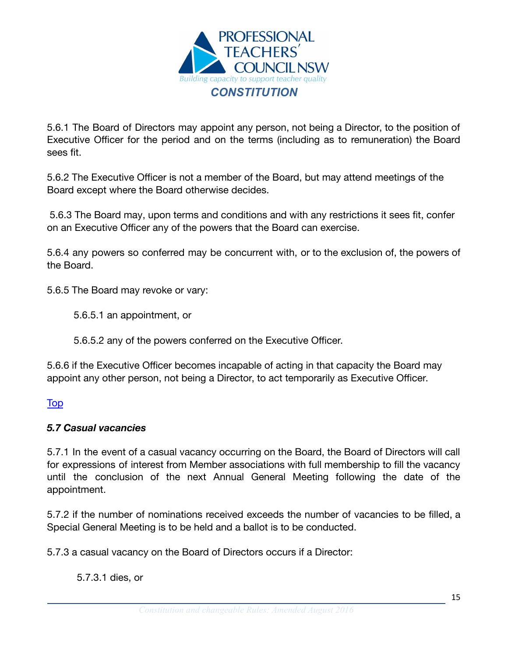

5.6.1 The Board of Directors may appoint any person, not being a Director, to the position of Executive Officer for the period and on the terms (including as to remuneration) the Board sees fit.

5.6.2 The Executive Officer is not a member of the Board, but may attend meetings of the Board except where the Board otherwise decides.

5.6.3 The Board may, upon terms and conditions and with any restrictions it sees fit, confer on an Executive Officer any of the powers that the Board can exercise.

5.6.4 any powers so conferred may be concurrent with, or to the exclusion of, the powers of the Board.

5.6.5 The Board may revoke or vary:

5.6.5.1 an appointment, or

5.6.5.2 any of the powers conferred on the Executive Officer.

5.6.6 if the Executive Officer becomes incapable of acting in that capacity the Board may appoint any other person, not being a Director, to act temporarily as Executive Officer.

#### <span id="page-14-0"></span>[Top](#page-2-0)

#### *5.7 Casual vacancies*

5.7.1 In the event of a casual vacancy occurring on the Board, the Board of Directors will call for expressions of interest from Member associations with full membership to fill the vacancy until the conclusion of the next Annual General Meeting following the date of the appointment.

5.7.2 if the number of nominations received exceeds the number of vacancies to be filled, a Special General Meeting is to be held and a ballot is to be conducted.

5.7.3 a casual vacancy on the Board of Directors occurs if a Director:

5.7.3.1 dies, or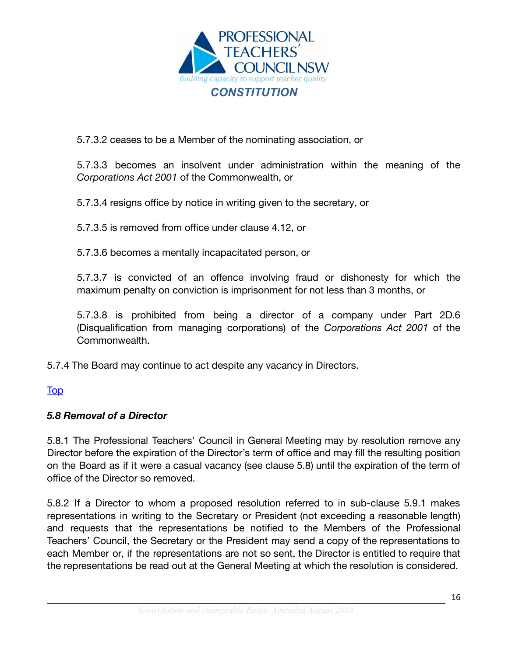

5.7.3.2 ceases to be a Member of the nominating association, or

5.7.3.3 becomes an insolvent under administration within the meaning of the *[Corporations Act 2001](http://www.comlaw.gov.au/)* of the Commonwealth, or

5.7.3.4 resigns office by notice in writing given to the secretary, or

5.7.3.5 is removed from office under clause 4.12, or

5.7.3.6 becomes a mentally incapacitated person, or

5.7.3.7 is convicted of an offence involving fraud or dishonesty for which the maximum penalty on conviction is imprisonment for not less than 3 months, or

5.7.3.8 is prohibited from being a director of a company under Part 2D.6 (Disqualification from managing corporations) of the *[Corporations](http://www.comlaw.gov.au/) Act 2001* of the Commonwealth.

5.7.4 The Board may continue to act despite any vacancy in Directors.

# [Top](#page-2-0)

# <span id="page-15-0"></span>*5.8 Removal of a Director*

5.8.1 The Professional Teachers' Council in General Meeting may by resolution remove any Director before the expiration of the Director's term of office and may fill the resulting position on the Board as if it were a casual vacancy (see clause 5.8) until the expiration of the term of office of the Director so removed.

5.8.2 If a Director to whom a proposed resolution referred to in sub-clause 5.9.1 makes representations in writing to the Secretary or President (not exceeding a reasonable length) and requests that the representations be notified to the Members of the Professional Teachers' Council, the Secretary or the President may send a copy of the representations to each Member or, if the representations are not so sent, the Director is entitled to require that the representations be read out at the General Meeting at which the resolution is considered.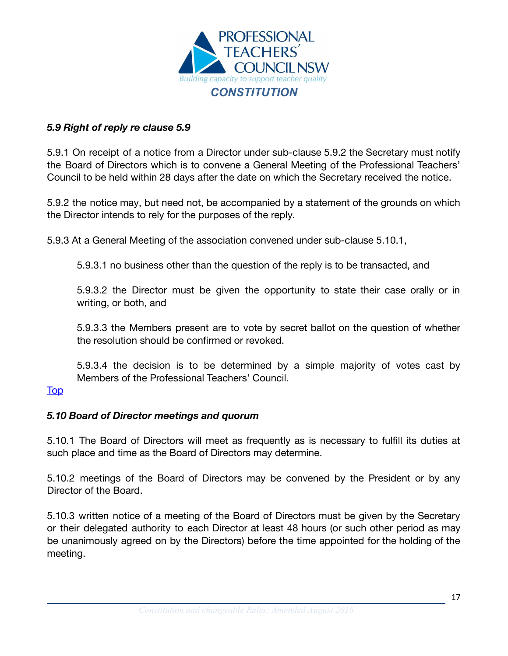

#### <span id="page-16-0"></span>*5.9 Right of reply re clause 5.9*

5.9.1 On receipt of a notice from a Director under sub-clause 5.9.2 the Secretary must notify the Board of Directors which is to convene a General Meeting of the Professional Teachers' Council to be held within 28 days after the date on which the Secretary received the notice.

5.9.2 the notice may, but need not, be accompanied by a statement of the grounds on which the Director intends to rely for the purposes of the reply.

5.9.3 At a General Meeting of the association convened under sub-clause 5.10.1,

5.9.3.1 no business other than the question of the reply is to be transacted, and

5.9.3.2 the Director must be given the opportunity to state their case orally or in writing, or both, and

5.9.3.3 the Members present are to vote by secret ballot on the question of whether the resolution should be confirmed or revoked.

5.9.3.4 the decision is to be determined by a simple majority of votes cast by Members of the Professional Teachers' Council.

#### <span id="page-16-1"></span>[Top](#page-2-0)

#### *5.10 Board of Director meetings and quorum*

5.10.1 The Board of Directors will meet as frequently as is necessary to fulfill its duties at such place and time as the Board of Directors may determine.

5.10.2 meetings of the Board of Directors may be convened by the President or by any Director of the Board.

5.10.3 written notice of a meeting of the Board of Directors must be given by the Secretary or their delegated authority to each Director at least 48 hours (or such other period as may be unanimously agreed on by the Directors) before the time appointed for the holding of the meeting.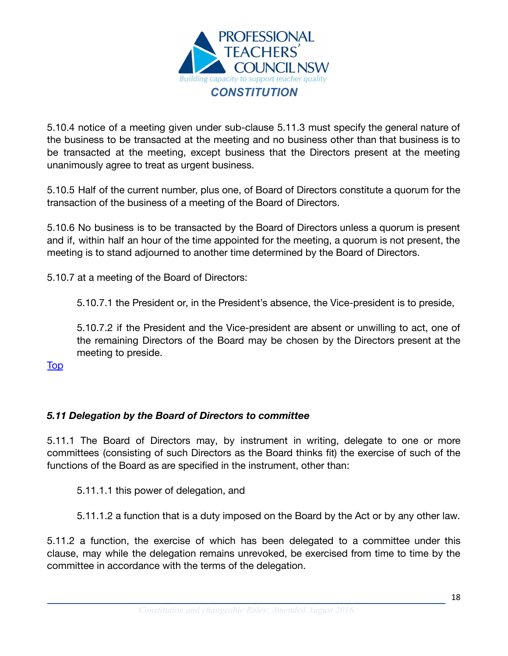

5.10.4 notice of a meeting given under sub-clause 5.11.3 must specify the general nature of the business to be transacted at the meeting and no business other than that business is to be transacted at the meeting, except business that the Directors present at the meeting unanimously agree to treat as urgent business.

5.10.5 Half of the current number, plus one, of Board of Directors constitute a quorum for the transaction of the business of a meeting of the Board of Directors.

5.10.6 No business is to be transacted by the Board of Directors unless a quorum is present and if, within half an hour of the time appointed for the meeting, a quorum is not present, the meeting is to stand adjourned to another time determined by the Board of Directors.

5.10.7 at a meeting of the Board of Directors:

5.10.7.1 the President or, in the President's absence, the Vice-president is to preside,

5.10.7.2 if the President and the Vice-president are absent or unwilling to act, one of the remaining Directors of the Board may be chosen by the Directors present at the meeting to preside.

<span id="page-17-0"></span>**[Top](#page-2-0)** 

# *5.11 Delegation by the Board of Directors to committee*

5.11.1 The Board of Directors may, by instrument in writing, delegate to one or more committees (consisting of such Directors as the Board thinks fit) the exercise of such of the functions of the Board as are specified in the instrument, other than:

5.11.1.1 this power of delegation, and

5.11.1.2 a function that is a duty imposed on the Board by the Act or by any other law.

5.11.2 a function, the exercise of which has been delegated to a committee under this clause, may while the delegation remains unrevoked, be exercised from time to time by the committee in accordance with the terms of the delegation.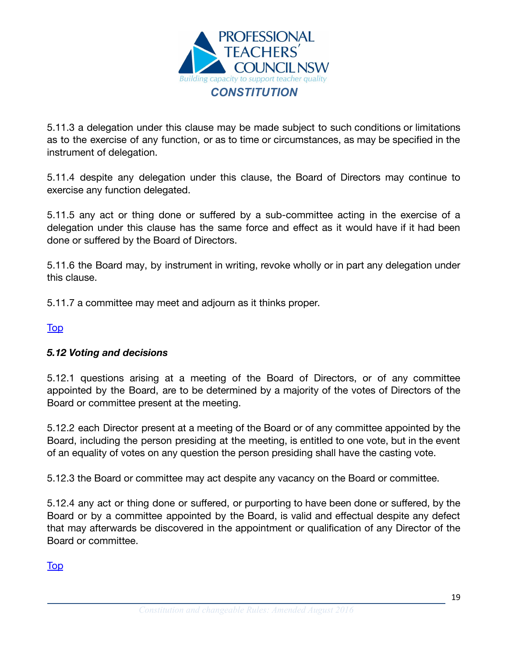

5.11.3 a delegation under this clause may be made subject to such conditions or limitations as to the exercise of any function, or as to time or circumstances, as may be specified in the instrument of delegation.

5.11.4 despite any delegation under this clause, the Board of Directors may continue to exercise any function delegated.

5.11.5 any act or thing done or suffered by a sub-committee acting in the exercise of a delegation under this clause has the same force and effect as it would have if it had been done or suffered by the Board of Directors.

5.11.6 the Board may, by instrument in writing, revoke wholly or in part any delegation under this clause.

5.11.7 a committee may meet and adjourn as it thinks proper.

[Top](#page-2-0)

#### <span id="page-18-0"></span>*5.12 Voting and decisions*

5.12.1 questions arising at a meeting of the Board of Directors, or of any committee appointed by the Board, are to be determined by a majority of the votes of Directors of the Board or committee present at the meeting.

5.12.2 each Director present at a meeting of the Board or of any committee appointed by the Board, including the person presiding at the meeting, is entitled to one vote, but in the event of an equality of votes on any question the person presiding shall have the casting vote.

5.12.3 the Board or committee may act despite any vacancy on the Board or committee.

5.12.4 any act or thing done or suffered, or purporting to have been done or suffered, by the Board or by a committee appointed by the Board, is valid and effectual despite any defect that may afterwards be discovered in the appointment or qualification of any Director of the Board or committee.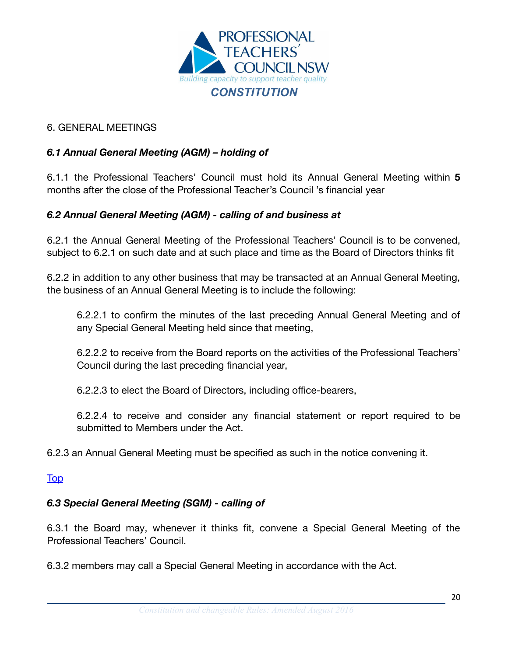

#### <span id="page-19-0"></span>6. GENERAL MEETINGS

# <span id="page-19-1"></span>*6.1 Annual General Meeting (AGM) – holding of*

6.1.1 the Professional Teachers' Council must hold its Annual General Meeting within **5** months after the close of the Professional Teacher's Council 's financial year

#### <span id="page-19-2"></span>*6.2 Annual General Meeting (AGM) - calling of and business at*

6.2.1 the Annual General Meeting of the Professional Teachers' Council is to be convened, subject to 6.2.1 on such date and at such place and time as the Board of Directors thinks fit

6.2.2 in addition to any other business that may be transacted at an Annual General Meeting, the business of an Annual General Meeting is to include the following:

6.2.2.1 to confirm the minutes of the last preceding Annual General Meeting and of any Special General Meeting held since that meeting,

6.2.2.2 to receive from the Board reports on the activities of the Professional Teachers' Council during the last preceding financial year,

6.2.2.3 to elect the Board of Directors, including office-bearers,

6.2.2.4 to receive and consider any financial statement or report required to be submitted to Members under the Act.

6.2.3 an Annual General Meeting must be specified as such in the notice convening it.

#### [Top](#page-2-0)

#### <span id="page-19-3"></span>*6.3 Special General Meeting (SGM) - calling of*

6.3.1 the Board may, whenever it thinks fit, convene a Special General Meeting of the Professional Teachers' Council.

6.3.2 members may call a Special General Meeting in accordance with the Act.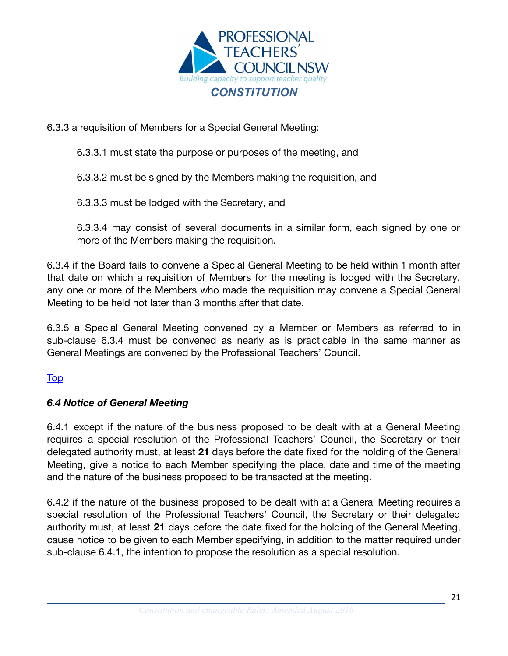

6.3.3 a requisition of Members for a Special General Meeting:

6.3.3.1 must state the purpose or purposes of the meeting, and

6.3.3.2 must be signed by the Members making the requisition, and

6.3.3.3 must be lodged with the Secretary, and

6.3.3.4 may consist of several documents in a similar form, each signed by one or more of the Members making the requisition.

6.3.4 if the Board fails to convene a Special General Meeting to be held within 1 month after that date on which a requisition of Members for the meeting is lodged with the Secretary, any one or more of the Members who made the requisition may convene a Special General Meeting to be held not later than 3 months after that date.

6.3.5 a Special General Meeting convened by a Member or Members as referred to in sub-clause 6.3.4 must be convened as nearly as is practicable in the same manner as General Meetings are convened by the Professional Teachers' Council.

# [Top](#page-2-0)

# <span id="page-20-0"></span>*6.4 Notice of General Meeting*

6.4.1 except if the nature of the business proposed to be dealt with at a General Meeting requires a special resolution of the Professional Teachers' Council, the Secretary or their delegated authority must, at least **21** days before the date fixed for the holding of the General Meeting, give a notice to each Member specifying the place, date and time of the meeting and the nature of the business proposed to be transacted at the meeting.

6.4.2 if the nature of the business proposed to be dealt with at a General Meeting requires a special resolution of the Professional Teachers' Council, the Secretary or their delegated authority must, at least **21** days before the date fixed for the holding of the General Meeting, cause notice to be given to each Member specifying, in addition to the matter required under sub-clause 6.4.1, the intention to propose the resolution as a special resolution.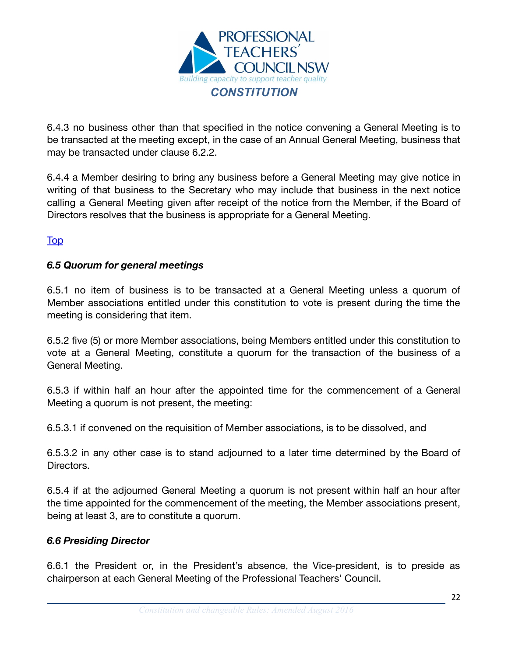

6.4.3 no business other than that specified in the notice convening a General Meeting is to be transacted at the meeting except, in the case of an Annual General Meeting, business that may be transacted under clause 6.2.2.

6.4.4 a Member desiring to bring any business before a General Meeting may give notice in writing of that business to the Secretary who may include that business in the next notice calling a General Meeting given after receipt of the notice from the Member, if the Board of Directors resolves that the business is appropriate for a General Meeting.

[Top](#page-2-0)

#### <span id="page-21-0"></span>*6.5 Quorum for general meetings*

6.5.1 no item of business is to be transacted at a General Meeting unless a quorum of Member associations entitled under this constitution to vote is present during the time the meeting is considering that item.

6.5.2 five (5) or more Member associations, being Members entitled under this constitution to vote at a General Meeting, constitute a quorum for the transaction of the business of a General Meeting.

6.5.3 if within half an hour after the appointed time for the commencement of a General Meeting a quorum is not present, the meeting:

6.5.3.1 if convened on the requisition of Member associations, is to be dissolved, and

6.5.3.2 in any other case is to stand adjourned to a later time determined by the Board of Directors.

6.5.4 if at the adjourned General Meeting a quorum is not present within half an hour after the time appointed for the commencement of the meeting, the Member associations present, being at least 3, are to constitute a quorum.

#### <span id="page-21-1"></span>*6.6 Presiding Director*

6.6.1 the President or, in the President's absence, the Vice-president, is to preside as chairperson at each General Meeting of the Professional Teachers' Council.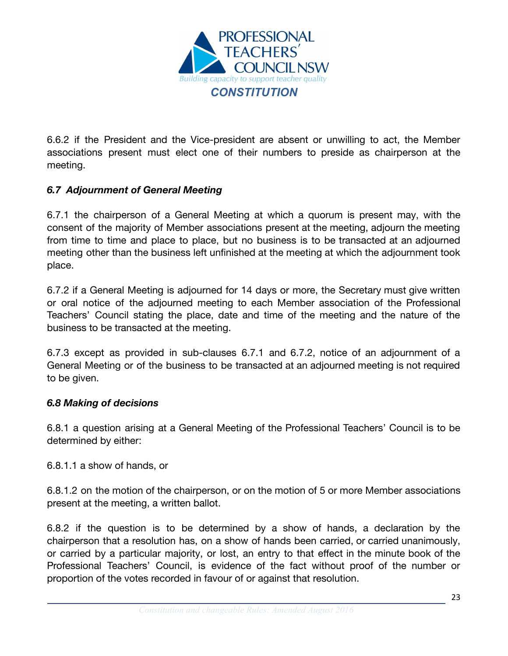

6.6.2 if the President and the Vice-president are absent or unwilling to act, the Member associations present must elect one of their numbers to preside as chairperson at the meeting.

# <span id="page-22-0"></span>*6.7 Adjournment of General Meeting*

6.7.1 the chairperson of a General Meeting at which a quorum is present may, with the consent of the majority of Member associations present at the meeting, adjourn the meeting from time to time and place to place, but no business is to be transacted at an adjourned meeting other than the business left unfinished at the meeting at which the adjournment took place.

6.7.2 if a General Meeting is adjourned for 14 days or more, the Secretary must give written or oral notice of the adjourned meeting to each Member association of the Professional Teachers' Council stating the place, date and time of the meeting and the nature of the business to be transacted at the meeting.

6.7.3 except as provided in sub-clauses 6.7.1 and 6.7.2, notice of an adjournment of a General Meeting or of the business to be transacted at an adjourned meeting is not required to be given.

#### <span id="page-22-1"></span>*6.8 Making of decisions*

6.8.1 a question arising at a General Meeting of the Professional Teachers' Council is to be determined by either:

6.8.1.1 a show of hands, or

6.8.1.2 on the motion of the chairperson, or on the motion of 5 or more Member associations present at the meeting, a written ballot.

6.8.2 if the question is to be determined by a show of hands, a declaration by the chairperson that a resolution has, on a show of hands been carried, or carried unanimously, or carried by a particular majority, or lost, an entry to that effect in the minute book of the Professional Teachers' Council, is evidence of the fact without proof of the number or proportion of the votes recorded in favour of or against that resolution.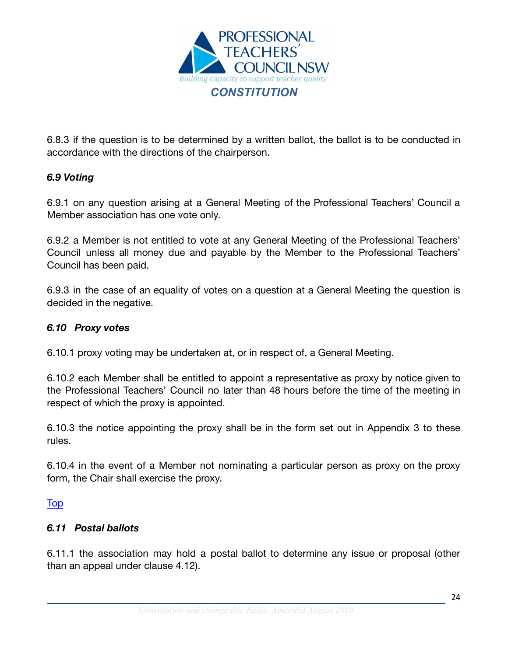

6.8.3 if the question is to be determined by a written ballot, the ballot is to be conducted in accordance with the directions of the chairperson.

# <span id="page-23-0"></span>*6.9 Voting*

6.9.1 on any question arising at a General Meeting of the Professional Teachers' Council a Member association has one vote only.

6.9.2 a Member is not entitled to vote at any General Meeting of the Professional Teachers' Council unless all money due and payable by the Member to the Professional Teachers' Council has been paid.

6.9.3 in the case of an equality of votes on a question at a General Meeting the question is decided in the negative.

#### <span id="page-23-1"></span>*6.10 Proxy votes*

6.10.1 proxy voting may be undertaken at, or in respect of, a General Meeting.

6.10.2 each Member shall be entitled to appoint a representative as proxy by notice given to the Professional Teachers' Council no later than 48 hours before the time of the meeting in respect of which the proxy is appointed.

6.10.3 the notice appointing the proxy shall be in the form set out in Appendix 3 to these rules.

6.10.4 in the event of a Member not nominating a particular person as proxy on the proxy form, the Chair shall exercise the proxy.

#### [Top](#page-2-0)

#### <span id="page-23-2"></span>*6.11 Postal ballots*

6.11.1 the association may hold a postal ballot to determine any issue or proposal (other than an appeal under clause 4.12).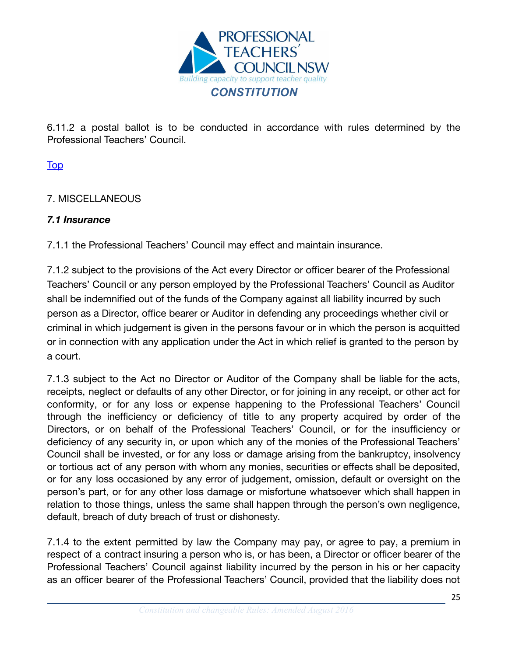

6.11.2 a postal ballot is to be conducted in accordance with rules determined by the Professional Teachers' Council.

[Top](#page-2-0)

# <span id="page-24-0"></span>7. MISCELLANEOUS

#### <span id="page-24-1"></span>*7.1 Insurance*

7.1.1 the Professional Teachers' Council may effect and maintain insurance.

7.1.2 subject to the provisions of the Act every Director or officer bearer of the Professional Teachers' Council or any person employed by the Professional Teachers' Council as Auditor shall be indemnified out of the funds of the Company against all liability incurred by such person as a Director, office bearer or Auditor in defending any proceedings whether civil or criminal in which judgement is given in the persons favour or in which the person is acquitted or in connection with any application under the Act in which relief is granted to the person by a court.

7.1.3 subject to the Act no Director or Auditor of the Company shall be liable for the acts, receipts, neglect or defaults of any other Director, or for joining in any receipt, or other act for conformity, or for any loss or expense happening to the Professional Teachers' Council through the inefficiency or deficiency of title to any property acquired by order of the Directors, or on behalf of the Professional Teachers' Council, or for the insufficiency or deficiency of any security in, or upon which any of the monies of the Professional Teachers' Council shall be invested, or for any loss or damage arising from the bankruptcy, insolvency or tortious act of any person with whom any monies, securities or effects shall be deposited, or for any loss occasioned by any error of judgement, omission, default or oversight on the person's part, or for any other loss damage or misfortune whatsoever which shall happen in relation to those things, unless the same shall happen through the person's own negligence, default, breach of duty breach of trust or dishonesty.

7.1.4 to the extent permitted by law the Company may pay, or agree to pay, a premium in respect of a contract insuring a person who is, or has been, a Director or officer bearer of the Professional Teachers' Council against liability incurred by the person in his or her capacity as an officer bearer of the Professional Teachers' Council, provided that the liability does not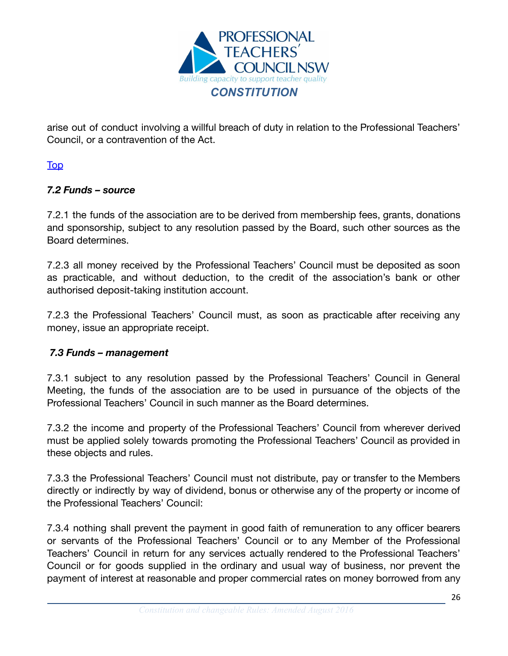

arise out of conduct involving a willful breach of duty in relation to the Professional Teachers' Council, or a contravention of the Act.

[Top](#page-2-0)

# <span id="page-25-0"></span>*7.2 Funds – source*

7.2.1 the funds of the association are to be derived from membership fees, grants, donations and sponsorship, subject to any resolution passed by the Board, such other sources as the Board determines.

7.2.3 all money received by the Professional Teachers' Council must be deposited as soon as practicable, and without deduction, to the credit of the association's bank or other authorised deposit-taking institution account.

7.2.3 the Professional Teachers' Council must, as soon as practicable after receiving any money, issue an appropriate receipt.

# <span id="page-25-1"></span>*7.3 Funds – management*

7.3.1 subject to any resolution passed by the Professional Teachers' Council in General Meeting, the funds of the association are to be used in pursuance of the objects of the Professional Teachers' Council in such manner as the Board determines.

7.3.2 the income and property of the Professional Teachers' Council from wherever derived must be applied solely towards promoting the Professional Teachers' Council as provided in these objects and rules.

7.3.3 the Professional Teachers' Council must not distribute, pay or transfer to the Members directly or indirectly by way of dividend, bonus or otherwise any of the property or income of the Professional Teachers' Council:

7.3.4 nothing shall prevent the payment in good faith of remuneration to any officer bearers or servants of the Professional Teachers' Council or to any Member of the Professional Teachers' Council in return for any services actually rendered to the Professional Teachers' Council or for goods supplied in the ordinary and usual way of business, nor prevent the payment of interest at reasonable and proper commercial rates on money borrowed from any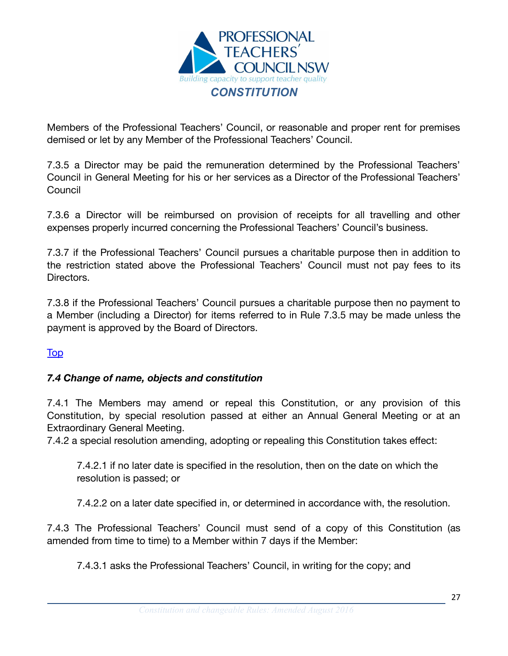

Members of the Professional Teachers' Council, or reasonable and proper rent for premises demised or let by any Member of the Professional Teachers' Council.

7.3.5 a Director may be paid the remuneration determined by the Professional Teachers' Council in General Meeting for his or her services as a Director of the Professional Teachers' **Council** 

7.3.6 a Director will be reimbursed on provision of receipts for all travelling and other expenses properly incurred concerning the Professional Teachers' Council's business.

7.3.7 if the Professional Teachers' Council pursues a charitable purpose then in addition to the restriction stated above the Professional Teachers' Council must not pay fees to its Directors.

7.3.8 if the Professional Teachers' Council pursues a charitable purpose then no payment to a Member (including a Director) for items referred to in Rule 7.3.5 may be made unless the payment is approved by the Board of Directors.

#### **[Top](#page-2-0)**

#### <span id="page-26-0"></span>*7.4 Change of name, objects and constitution*

7.4.1 The Members may amend or repeal this Constitution, or any provision of this Constitution, by special resolution passed at either an Annual General Meeting or at an Extraordinary General Meeting.

7.4.2 a special resolution amending, adopting or repealing this Constitution takes effect:

7.4.2.1 if no later date is specified in the resolution, then on the date on which the resolution is passed; or

7.4.2.2 on a later date specified in, or determined in accordance with, the resolution.

7.4.3 The Professional Teachers' Council must send of a copy of this Constitution (as amended from time to time) to a Member within 7 days if the Member:

7.4.3.1 asks the Professional Teachers' Council, in writing for the copy; and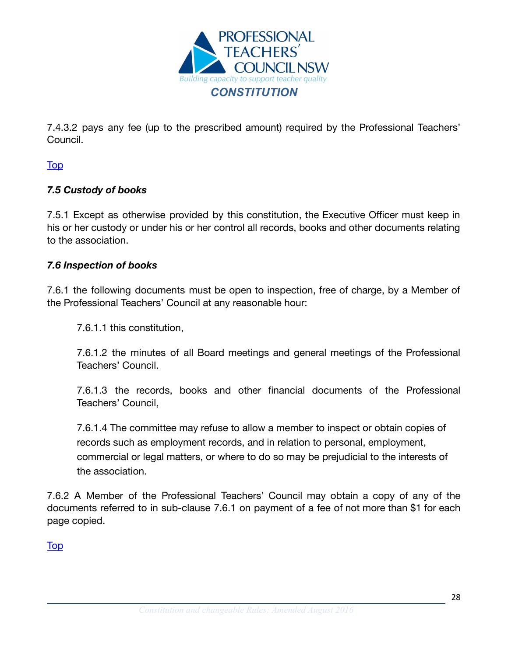

7.4.3.2 pays any fee (up to the prescribed amount) required by the Professional Teachers' Council.

[Top](#page-2-0)

# <span id="page-27-0"></span>*7.5 Custody of books*

7.5.1 Except as otherwise provided by this constitution, the Executive Officer must keep in his or her custody or under his or her control all records, books and other documents relating to the association.

#### <span id="page-27-1"></span>*7.6 Inspection of books*

7.6.1 the following documents must be open to inspection, free of charge, by a Member of the Professional Teachers' Council at any reasonable hour:

7.6.1.1 this constitution,

7.6.1.2 the minutes of all Board meetings and general meetings of the Professional Teachers' Council.

7.6.1.3 the records, books and other financial documents of the Professional Teachers' Council,

7.6.1.4 The committee may refuse to allow a member to inspect or obtain copies of records such as employment records, and in relation to personal, employment, commercial or legal matters, or where to do so may be prejudicial to the interests of the association.

7.6.2 A Member of the Professional Teachers' Council may obtain a copy of any of the documents referred to in sub-clause 7.6.1 on payment of a fee of not more than \$1 for each page copied.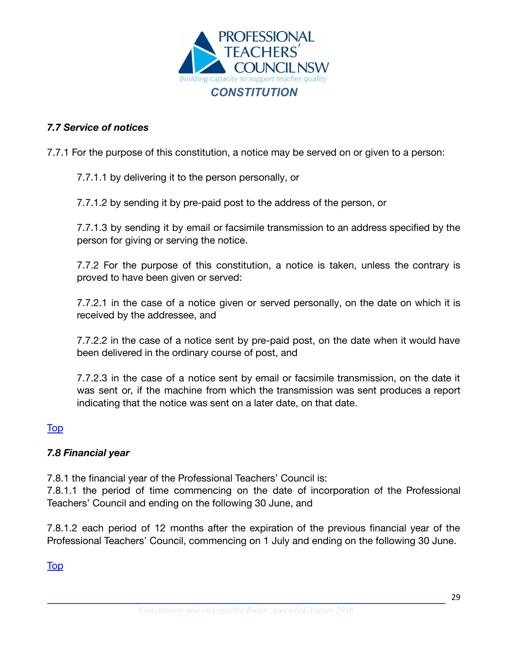

#### <span id="page-28-0"></span>*7.7 Service of notices*

7.7.1 For the purpose of this constitution, a notice may be served on or given to a person:

#### 7.7.1.1 by delivering it to the person personally, or

7.7.1.2 by sending it by pre-paid post to the address of the person, or

7.7.1.3 by sending it by email or facsimile transmission to an address specified by the person for giving or serving the notice.

7.7.2 For the purpose of this constitution, a notice is taken, unless the contrary is proved to have been given or served:

7.7.2.1 in the case of a notice given or served personally, on the date on which it is received by the addressee, and

7.7.2.2 in the case of a notice sent by pre-paid post, on the date when it would have been delivered in the ordinary course of post, and

7.7.2.3 in the case of a notice sent by email or facsimile transmission, on the date it was sent or, if the machine from which the transmission was sent produces a report indicating that the notice was sent on a later date, on that date.

#### [Top](#page-2-0)

#### <span id="page-28-1"></span>*7.8 Financial year*

7.8.1 the financial year of the Professional Teachers' Council is:

7.8.1.1 the period of time commencing on the date of incorporation of the Professional Teachers' Council and ending on the following 30 June, and

7.8.1.2 each period of 12 months after the expiration of the previous financial year of the Professional Teachers' Council, commencing on 1 July and ending on the following 30 June.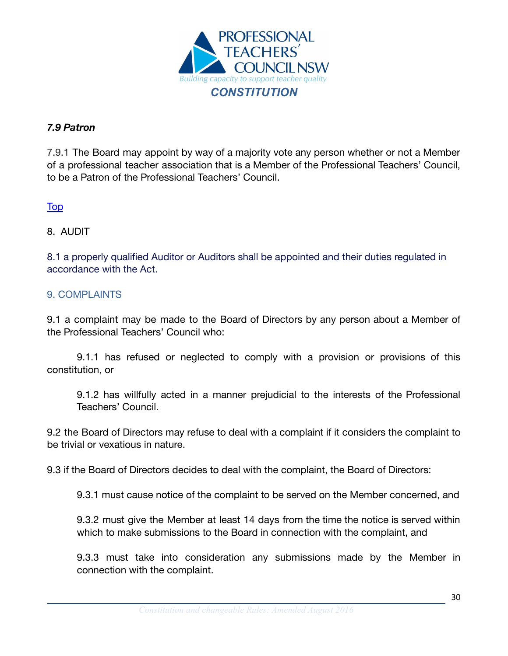

# <span id="page-29-0"></span>*7.9 Patron*

7.9.1 The Board may appoint by way of a majority vote any person whether or not a Member of a professional teacher association that is a Member of the Professional Teachers' Council, to be a Patron of the Professional Teachers' Council.

[Top](#page-2-0)

#### <span id="page-29-1"></span>8. AUDIT

8.1 a properly qualified Auditor or Auditors shall be appointed and their duties regulated in accordance with the Act.

#### <span id="page-29-2"></span>9. COMPLAINTS

9.1 a complaint may be made to the Board of Directors by any person about a Member of the Professional Teachers' Council who:

9.1.1 has refused or neglected to comply with a provision or provisions of this constitution, or

9.1.2 has willfully acted in a manner prejudicial to the interests of the Professional Teachers' Council.

9.2 the Board of Directors may refuse to deal with a complaint if it considers the complaint to be trivial or vexatious in nature.

9.3 if the Board of Directors decides to deal with the complaint, the Board of Directors:

9.3.1 must cause notice of the complaint to be served on the Member concerned, and

9.3.2 must give the Member at least 14 days from the time the notice is served within which to make submissions to the Board in connection with the complaint, and

9.3.3 must take into consideration any submissions made by the Member in connection with the complaint.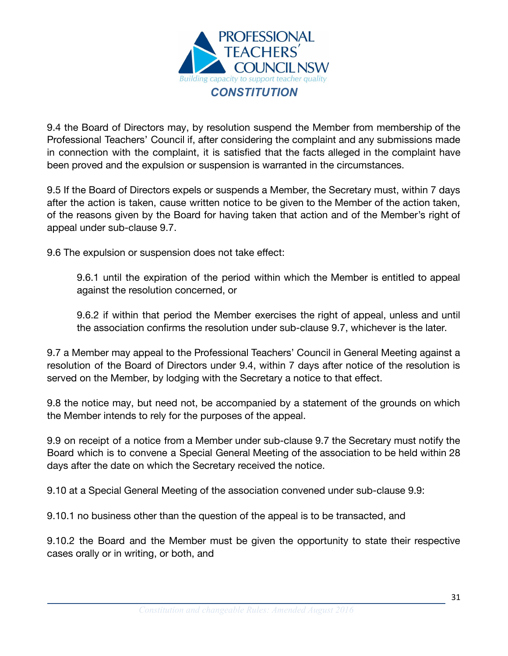

9.4 the Board of Directors may, by resolution suspend the Member from membership of the Professional Teachers' Council if, after considering the complaint and any submissions made in connection with the complaint, it is satisfied that the facts alleged in the complaint have been proved and the expulsion or suspension is warranted in the circumstances.

9.5 If the Board of Directors expels or suspends a Member, the Secretary must, within 7 days after the action is taken, cause written notice to be given to the Member of the action taken, of the reasons given by the Board for having taken that action and of the Member's right of appeal under sub-clause 9.7.

9.6 The expulsion or suspension does not take effect:

9.6.1 until the expiration of the period within which the Member is entitled to appeal against the resolution concerned, or

9.6.2 if within that period the Member exercises the right of appeal, unless and until the association confirms the resolution under sub-clause 9.7, whichever is the later.

9.7 a Member may appeal to the Professional Teachers' Council in General Meeting against a resolution of the Board of Directors under 9.4, within 7 days after notice of the resolution is served on the Member, by lodging with the Secretary a notice to that effect.

9.8 the notice may, but need not, be accompanied by a statement of the grounds on which the Member intends to rely for the purposes of the appeal.

9.9 on receipt of a notice from a Member under sub-clause 9.7 the Secretary must notify the Board which is to convene a Special General Meeting of the association to be held within 28 days after the date on which the Secretary received the notice.

9.10 at a Special General Meeting of the association convened under sub-clause 9.9:

9.10.1 no business other than the question of the appeal is to be transacted, and

9.10.2 the Board and the Member must be given the opportunity to state their respective cases orally or in writing, or both, and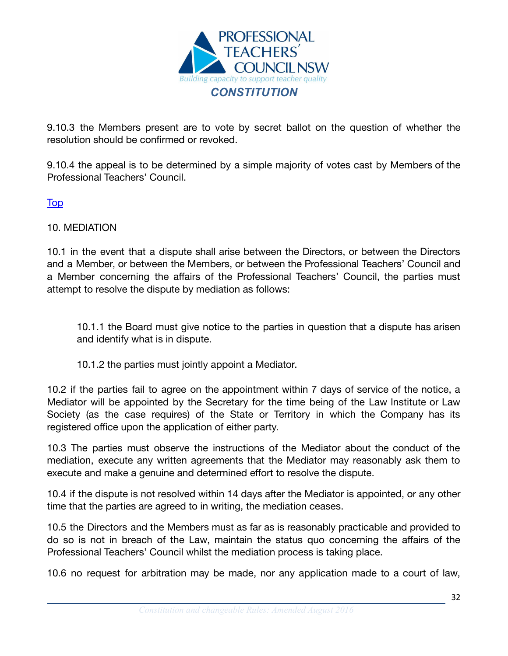

9.10.3 the Members present are to vote by secret ballot on the question of whether the resolution should be confirmed or revoked.

9.10.4 the appeal is to be determined by a simple majority of votes cast by Members of the Professional Teachers' Council.

[Top](#page-2-0)

#### <span id="page-31-0"></span>10. MEDIATION

10.1 in the event that a dispute shall arise between the Directors, or between the Directors and a Member, or between the Members, or between the Professional Teachers' Council and a Member concerning the affairs of the Professional Teachers' Council, the parties must attempt to resolve the dispute by mediation as follows:

10.1.1 the Board must give notice to the parties in question that a dispute has arisen and identify what is in dispute.

10.1.2 the parties must jointly appoint a Mediator.

10.2 if the parties fail to agree on the appointment within 7 days of service of the notice, a Mediator will be appointed by the Secretary for the time being of the Law Institute or Law Society (as the case requires) of the State or Territory in which the Company has its registered office upon the application of either party.

10.3 The parties must observe the instructions of the Mediator about the conduct of the mediation, execute any written agreements that the Mediator may reasonably ask them to execute and make a genuine and determined effort to resolve the dispute.

10.4 if the dispute is not resolved within 14 days after the Mediator is appointed, or any other time that the parties are agreed to in writing, the mediation ceases.

10.5 the Directors and the Members must as far as is reasonably practicable and provided to do so is not in breach of the Law, maintain the status quo concerning the affairs of the Professional Teachers' Council whilst the mediation process is taking place.

10.6 no request for arbitration may be made, nor any application made to a court of law,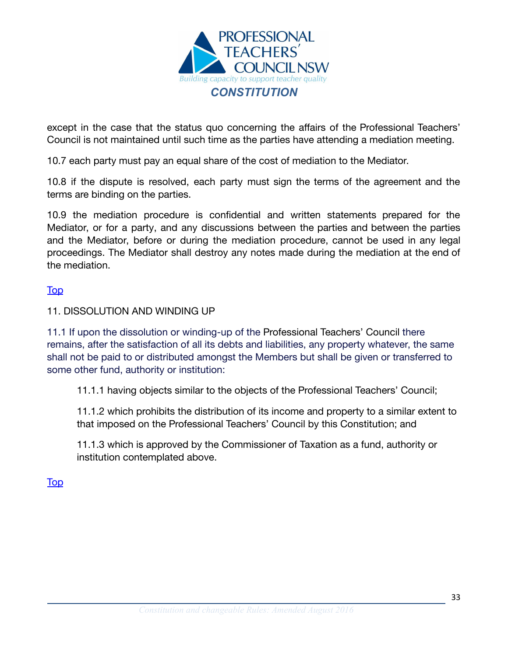

except in the case that the status quo concerning the affairs of the Professional Teachers' Council is not maintained until such time as the parties have attending a mediation meeting.

10.7 each party must pay an equal share of the cost of mediation to the Mediator.

10.8 if the dispute is resolved, each party must sign the terms of the agreement and the terms are binding on the parties.

10.9 the mediation procedure is confidential and written statements prepared for the Mediator, or for a party, and any discussions between the parties and between the parties and the Mediator, before or during the mediation procedure, cannot be used in any legal proceedings. The Mediator shall destroy any notes made during the mediation at the end of the mediation.

#### [Top](#page-2-0)

#### <span id="page-32-0"></span>11. DISSOLUTION AND WINDING UP

11.1 If upon the dissolution or winding-up of the Professional Teachers' Council there remains, after the satisfaction of all its debts and liabilities, any property whatever, the same shall not be paid to or distributed amongst the Members but shall be given or transferred to some other fund, authority or institution:

11.1.1 having objects similar to the objects of the Professional Teachers' Council;

11.1.2 which prohibits the distribution of its income and property to a similar extent to that imposed on the Professional Teachers' Council by this Constitution; and

11.1.3 which is approved by the Commissioner of Taxation as a fund, authority or institution contemplated above.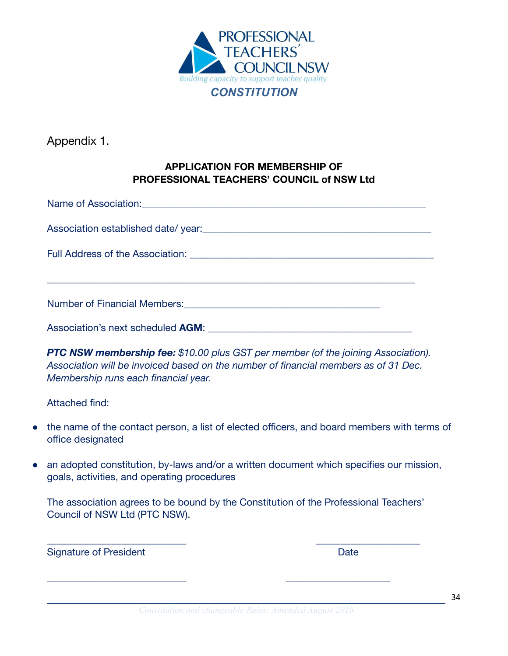

<span id="page-33-0"></span>Appendix 1.

# **APPLICATION FOR MEMBERSHIP OF PROFESSIONAL TEACHERS' COUNCIL of NSW Ltd**

| Name of Association: <u>contract and a series of Association</u>                                                |  |  |  |  |
|-----------------------------------------------------------------------------------------------------------------|--|--|--|--|
|                                                                                                                 |  |  |  |  |
|                                                                                                                 |  |  |  |  |
|                                                                                                                 |  |  |  |  |
| Number of Financial Members: 2008 2009 2010 2020 2021 2022 2023 2024 2022 2023 2024 2022 2023 2024 2022 2023 20 |  |  |  |  |
| Association's next scheduled <b>AGM</b> : Association's next scheduled <b>AGM</b> :                             |  |  |  |  |

*PTC NSW membership fee: \$10.00 plus GST per member (of the joining Association). Association will be invoiced based on the number of financial members as of 31 Dec. Membership runs each financial year.*

Attached find:

- the name of the contact person, a list of elected officers, and board members with terms of office designated
- an adopted constitution, by-laws and/or a written document which specifies our mission, goals, activities, and operating procedures

The association agrees to be bound by the Constitution of the Professional Teachers' Council of NSW Ltd (PTC NSW).

 $\overline{\phantom{a}}$  , and the contract of the contract of the contract of the contract of the contract of the contract of the contract of the contract of the contract of the contract of the contract of the contract of the contrac

\_\_\_\_\_\_\_\_\_\_\_\_\_\_\_\_\_\_\_\_\_\_\_\_\_\_\_\_ \_\_\_\_\_\_\_\_\_\_\_\_\_\_\_\_\_\_\_\_\_

Signature of President National According Contract Date Date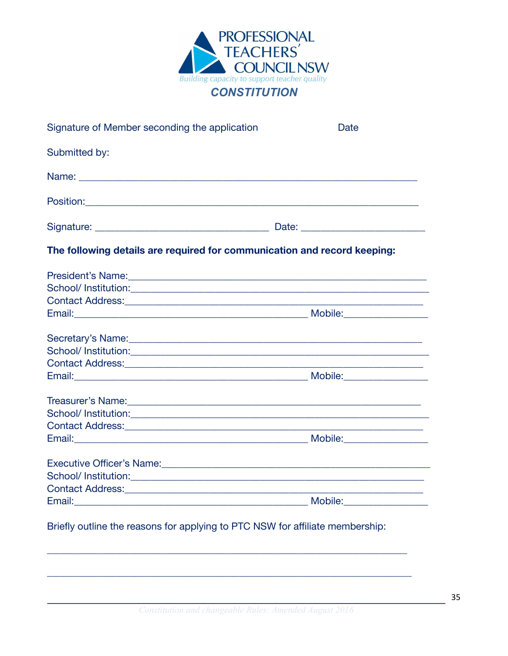

| Signature of Member seconding the application                            | Date                                                       |
|--------------------------------------------------------------------------|------------------------------------------------------------|
| Submitted by:                                                            |                                                            |
|                                                                          |                                                            |
|                                                                          |                                                            |
|                                                                          |                                                            |
| The following details are required for communication and record keeping: |                                                            |
|                                                                          |                                                            |
|                                                                          |                                                            |
|                                                                          |                                                            |
|                                                                          |                                                            |
|                                                                          |                                                            |
|                                                                          |                                                            |
|                                                                          | <u> 1989 - Johann Barn, mars ann an t-Amhair ann an t-</u> |
|                                                                          |                                                            |
|                                                                          |                                                            |
|                                                                          |                                                            |
|                                                                          | <u> 1965 - Johann Barn, mars et al. (b. 1964)</u>          |
|                                                                          |                                                            |
| Executive Officer's Name:<br><u> Executive Officer's Name:</u>           |                                                            |
|                                                                          |                                                            |
|                                                                          |                                                            |
|                                                                          |                                                            |

Briefly outline the reasons for applying to PTC NSW for affiliate membership: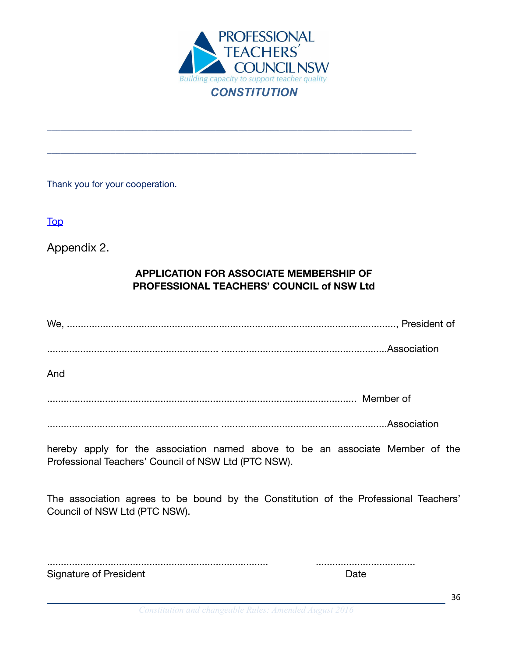

\_\_\_\_\_\_\_\_\_\_\_\_\_\_\_\_\_\_\_\_\_\_\_\_\_\_\_\_\_\_\_\_\_\_\_\_\_\_\_\_\_\_\_\_\_\_\_\_\_\_\_\_\_\_\_\_\_\_\_\_\_\_\_\_\_\_\_\_\_\_\_\_\_\_\_\_\_\_\_\_

\_\_\_\_\_\_\_\_\_\_\_\_\_\_\_\_\_\_\_\_\_\_\_\_\_\_\_\_\_\_\_\_\_\_\_\_\_\_\_\_\_\_\_\_\_\_\_\_\_\_\_\_\_\_\_\_\_\_\_\_\_\_\_\_\_\_\_\_\_\_\_\_\_\_\_\_\_\_\_\_\_

Thank you for your cooperation.

**[Top](#page-2-0)** 

<span id="page-35-0"></span>Appendix 2.

# **APPLICATION FOR ASSOCIATE MEMBERSHIP OF PROFESSIONAL TEACHERS' COUNCIL of NSW Ltd**

We, ......................................................................................................................., President of

.............................................................. ............................................................Association

And

................................................................................................................ Member of

.............................................................. ............................................................Association

hereby apply for the association named above to be an associate Member of the Professional Teachers' Council of NSW Ltd (PTC NSW).

The association agrees to be bound by the Constitution of the Professional Teachers' Council of NSW Ltd (PTC NSW).

................................................................................ .................................... Signature of President National Assembly Date Date

36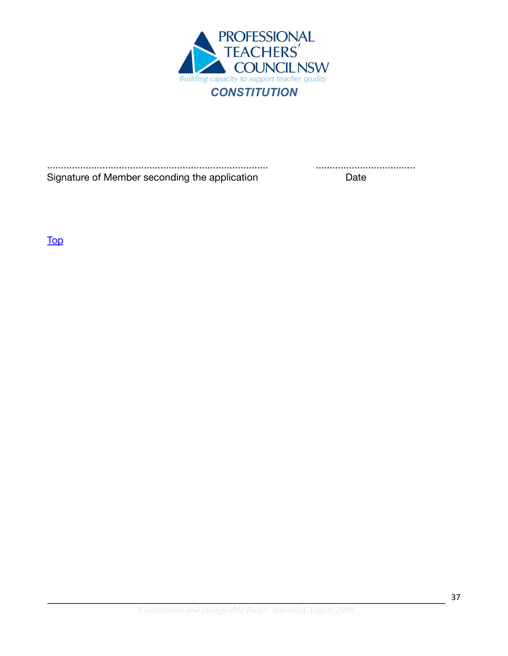

................................................................................ .................................... Signature of Member seconding the application Date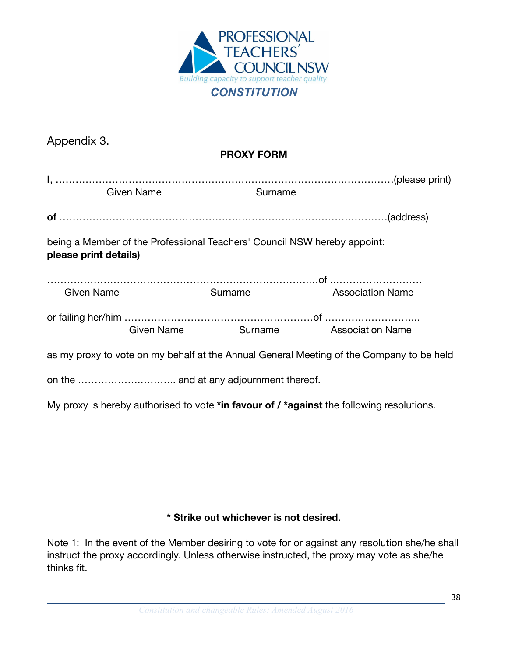

<span id="page-37-0"></span>

| Appendix 3.                                                                                       |                                     |                         |
|---------------------------------------------------------------------------------------------------|-------------------------------------|-------------------------|
| <b>PROXY FORM</b>                                                                                 |                                     |                         |
| <b>Given Name</b>                                                                                 | Surname                             |                         |
|                                                                                                   |                                     |                         |
| being a Member of the Professional Teachers' Council NSW hereby appoint:<br>please print details) |                                     |                         |
|                                                                                                   |                                     |                         |
| <b>Given Name</b>                                                                                 | <b>Surname Surname</b>              | <b>Association Name</b> |
|                                                                                                   |                                     |                         |
|                                                                                                   | Given Name Surname Association Name |                         |
| as my proxy to vote on my behalf at the Annual General Meeting of the Company to be held          |                                     |                         |
|                                                                                                   |                                     |                         |
| My proxy is hereby authorised to vote *in favour of / *against the following resolutions.         |                                     |                         |

# **\* Strike out whichever is not desired.**

Note 1: In the event of the Member desiring to vote for or against any resolution she/he shall instruct the proxy accordingly. Unless otherwise instructed, the proxy may vote as she/he thinks fit.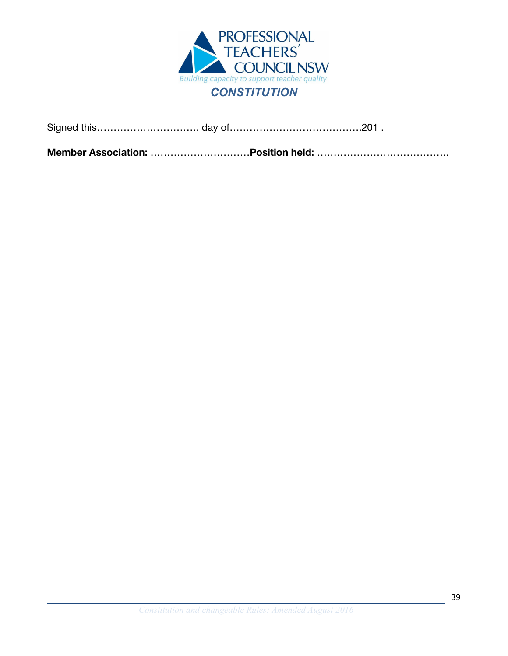

**Member Association:** …………………………**Position held:** ………………………………….